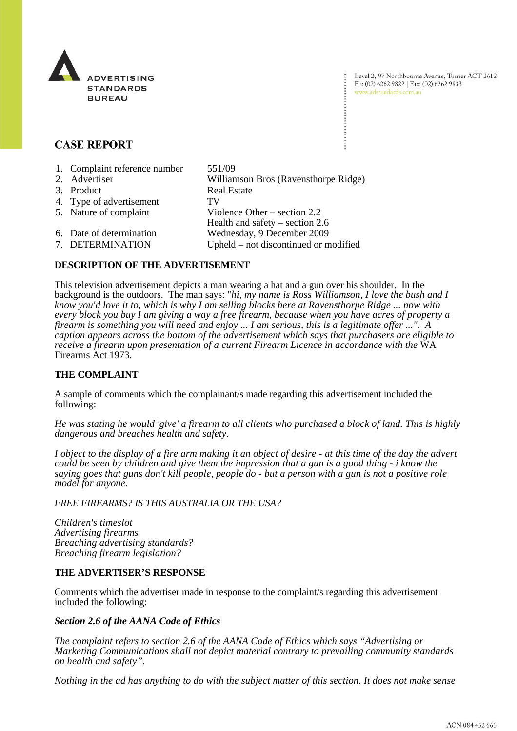

Level 2, 97 Northbourne Avenue, Turner ACT 2612 Ph: (02) 6262 9822 | Fax: (02) 6262 9833 www.adstandards.com.au

# **CASE REPORT**

| 1. Complaint reference number | 551/09                                |
|-------------------------------|---------------------------------------|
| 2. Advertiser                 | Williamson Bros (Ravensthorpe Ridge)  |
| 3. Product                    | <b>Real Estate</b>                    |
| 4. Type of advertisement      | TV                                    |
| 5. Nature of complaint        | Violence Other $-$ section 2.2        |
|                               | Health and safety $-$ section 2.6     |
| 6. Date of determination      | Wednesday, 9 December 2009            |
| 7. DETERMINATION              | Upheld – not discontinued or modified |

# **DESCRIPTION OF THE ADVERTISEMENT**

This television advertisement depicts a man wearing a hat and a gun over his shoulder. In the background is the outdoors. The man says: "*hi, my name is Ross Williamson, I love the bush and I know you'd love it to, which is why I am selling blocks here at Ravensthorpe Ridge ... now with every block you buy I am giving a way a free firearm, because when you have acres of property a firearm is something you will need and enjoy ... I am serious, this is a legitimate offer ...". A caption appears across the bottom of the advertisement which says that purchasers are eligible to receive a firearm upon presentation of a current Firearm Licence in accordance with the* WA Firearms Act 1973.

# **THE COMPLAINT**

A sample of comments which the complainant/s made regarding this advertisement included the following:

*He was stating he would 'give' a firearm to all clients who purchased a block of land. This is highly dangerous and breaches health and safety.*

*I object to the display of a fire arm making it an object of desire - at this time of the day the advert could be seen by children and give them the impression that a gun is a good thing - i know the saying goes that guns don't kill people, people do - but a person with a gun is not a positive role model for anyone.*

*FREE FIREARMS? IS THIS AUSTRALIA OR THE USA?*

*Children's timeslot Advertising firearms Breaching advertising standards? Breaching firearm legislation?*

#### **THE ADVERTISER'S RESPONSE**

Comments which the advertiser made in response to the complaint/s regarding this advertisement included the following:

#### *Section 2.6 of the AANA Code of Ethics*

*The complaint refers to section 2.6 of the AANA Code of Ethics which says "Advertising or Marketing Communications shall not depict material contrary to prevailing community standards on health and safety".* 

*Nothing in the ad has anything to do with the subject matter of this section. It does not make sense*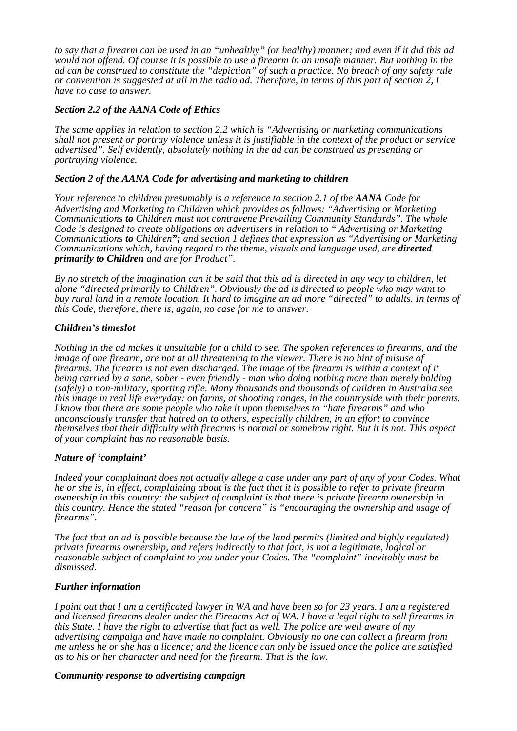*to say that a firearm can be used in an "unhealthy" (or healthy) manner; and even if it did this ad would not offend. Of course it is possible to use a firearm in an unsafe manner. But nothing in the ad can be construed to constitute the "depiction" of such a practice. No breach of any safety rule or convention is suggested at all in the radio ad. Therefore, in terms of this part of section 2, I have no case to answer.* 

# *Section 2.2 of the AANA Code of Ethics*

*The same applies in relation to section 2.2 which is "Advertising or marketing communications shall not present or portray violence unless it is justifiable in the context of the product or service advertised". Self evidently, absolutely nothing in the ad can be construed as presenting or portraying violence.* 

# *Section 2 of the AANA Code for advertising and marketing to children*

*Your reference to children presumably is a reference to section 2.1 of the AANA Code for Advertising and Marketing to Children which provides as follows: "Advertising or Marketing Communications to Children must not contravene Prevailing Community Standards". The whole Code is designed to create obligations on advertisers in relation to " Advertising or Marketing Communications to Children"; and section 1 defines that expression as "Advertising or Marketing Communications which, having regard to the theme, visuals and language used, are directed primarily to Children and are for Product".* 

*By no stretch of the imagination can it be said that this ad is directed in any way to children, let alone "directed primarily to Children". Obviously the ad is directed to people who may want to buy rural land in a remote location. It hard to imagine an ad more "directed" to adults. In terms of this Code, therefore, there is, again, no case for me to answer.* 

#### *Children's timeslot*

*Nothing in the ad makes it unsuitable for a child to see. The spoken references to firearms, and the image of one firearm, are not at all threatening to the viewer. There is no hint of misuse of firearms. The firearm is not even discharged. The image of the firearm is within a context of it being carried by a sane, sober - even friendly - man who doing nothing more than merely holding (safely) a non-military, sporting rifle. Many thousands and thousands of children in Australia see this image in real life everyday: on farms, at shooting ranges, in the countryside with their parents. I know that there are some people who take it upon themselves to "hate firearms" and who unconsciously transfer that hatred on to others, especially children, in an effort to convince themselves that their difficulty with firearms is normal or somehow right. But it is not. This aspect of your complaint has no reasonable basis.* 

# *Nature of 'complaint'*

*Indeed your complainant does not actually allege a case under any part of any of your Codes. What he or she is, in effect, complaining about is the fact that it is possible to refer to private firearm ownership in this country: the subject of complaint is that there is private firearm ownership in this country. Hence the stated "reason for concern" is "encouraging the ownership and usage of firearms".* 

*The fact that an ad is possible because the law of the land permits (limited and highly regulated) private firearms ownership, and refers indirectly to that fact, is not a legitimate, logical or reasonable subject of complaint to you under your Codes. The "complaint" inevitably must be dismissed.* 

#### *Further information*

*I point out that I am a certificated lawyer in WA and have been so for 23 years. I am a registered and licensed firearms dealer under the Firearms Act of WA. I have a legal right to sell firearms in this State. I have the right to advertise that fact as well. The police are well aware of my advertising campaign and have made no complaint. Obviously no one can collect a firearm from me unless he or she has a licence; and the licence can only be issued once the police are satisfied as to his or her character and need for the firearm. That is the law.* 

# *Community response to advertising campaign*